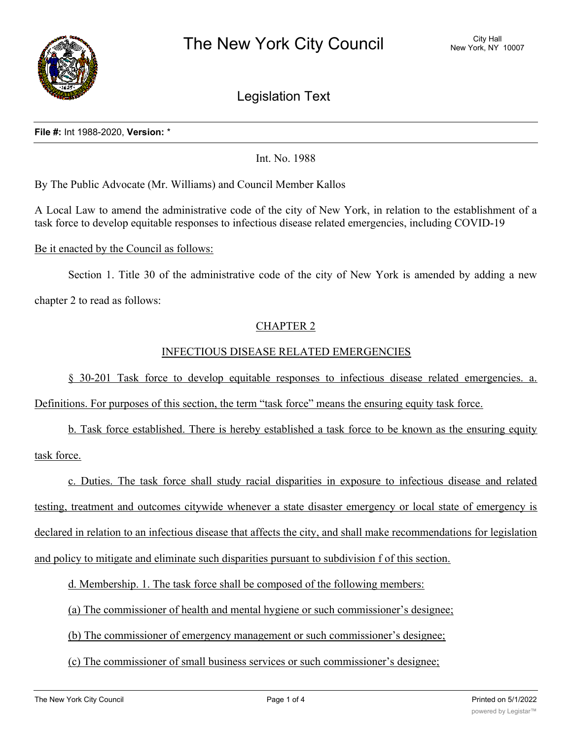

Legislation Text

#### **File #:** Int 1988-2020, **Version:** \*

Int. No. 1988

By The Public Advocate (Mr. Williams) and Council Member Kallos

A Local Law to amend the administrative code of the city of New York, in relation to the establishment of a task force to develop equitable responses to infectious disease related emergencies, including COVID-19

#### Be it enacted by the Council as follows:

Section 1. Title 30 of the administrative code of the city of New York is amended by adding a new chapter 2 to read as follows:

# CHAPTER 2

# INFECTIOUS DISEASE RELATED EMERGENCIES

§ 30-201 Task force to develop equitable responses to infectious disease related emergencies. a.

Definitions. For purposes of this section, the term "task force" means the ensuring equity task force.

b. Task force established. There is hereby established a task force to be known as the ensuring equity task force.

c. Duties. The task force shall study racial disparities in exposure to infectious disease and related testing, treatment and outcomes citywide whenever a state disaster emergency or local state of emergency is declared in relation to an infectious disease that affects the city, and shall make recommendations for legislation and policy to mitigate and eliminate such disparities pursuant to subdivision f of this section.

d. Membership. 1. The task force shall be composed of the following members:

(a) The commissioner of health and mental hygiene or such commissioner's designee;

(b) The commissioner of emergency management or such commissioner's designee;

(c) The commissioner of small business services or such commissioner's designee;

(d) The director of the may or the may obtain  $\alpha$  minority and women-owned business enterprises or such and women-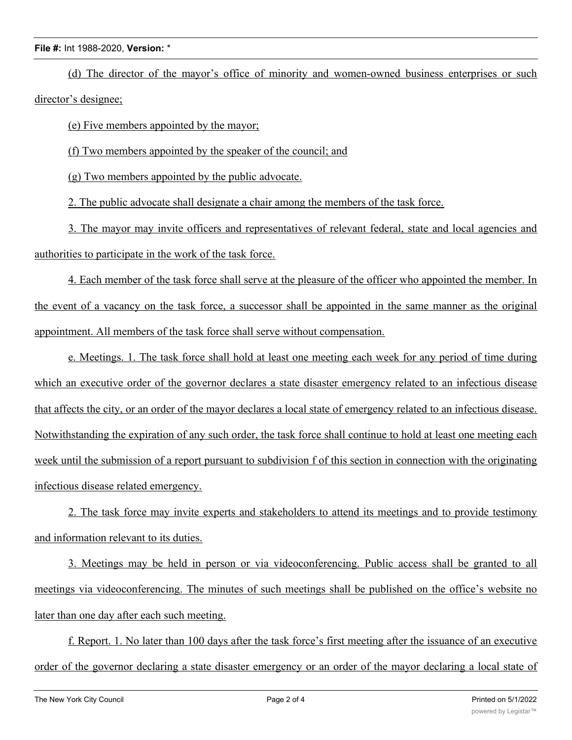### **File #:** Int 1988-2020, **Version:** \*

(d) The director of the mayor's office of minority and women-owned business enterprises or such director's designee;

(e) Five members appointed by the mayor;

(f) Two members appointed by the speaker of the council; and

(g) Two members appointed by the public advocate.

2. The public advocate shall designate a chair among the members of the task force.

3. The mayor may invite officers and representatives of relevant federal, state and local agencies and authorities to participate in the work of the task force.

4. Each member of the task force shall serve at the pleasure of the officer who appointed the member. In the event of a vacancy on the task force, a successor shall be appointed in the same manner as the original appointment. All members of the task force shall serve without compensation.

e. Meetings. 1. The task force shall hold at least one meeting each week for any period of time during which an executive order of the governor declares a state disaster emergency related to an infectious disease that affects the city, or an order of the mayor declares a local state of emergency related to an infectious disease. Notwithstanding the expiration of any such order, the task force shall continue to hold at least one meeting each week until the submission of a report pursuant to subdivision f of this section in connection with the originating infectious disease related emergency.

2. The task force may invite experts and stakeholders to attend its meetings and to provide testimony and information relevant to its duties.

3. Meetings may be held in person or via videoconferencing. Public access shall be granted to all meetings via videoconferencing. The minutes of such meetings shall be published on the office's website no later than one day after each such meeting.

f. Report. 1. No later than 100 days after the task force's first meeting after the issuance of an executive order of the governor declaring a state disaster emergency or an order of the mayor declaring a local state of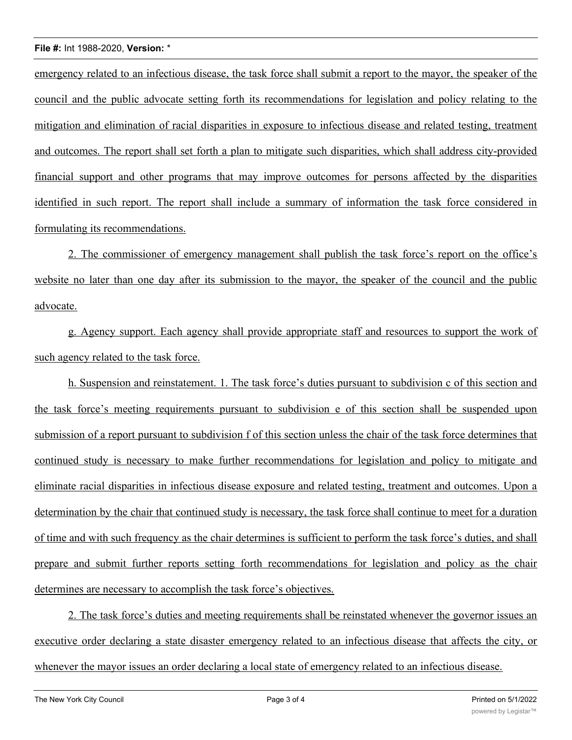#### **File #:** Int 1988-2020, **Version:** \*

emergency related to an infectious disease, the task force shall submit a report to the mayor, the speaker of the council and the public advocate setting forth its recommendations for legislation and policy relating to the mitigation and elimination of racial disparities in exposure to infectious disease and related testing, treatment and outcomes. The report shall set forth a plan to mitigate such disparities, which shall address city-provided financial support and other programs that may improve outcomes for persons affected by the disparities identified in such report. The report shall include a summary of information the task force considered in formulating its recommendations.

2. The commissioner of emergency management shall publish the task force's report on the office's website no later than one day after its submission to the mayor, the speaker of the council and the public advocate.

g. Agency support. Each agency shall provide appropriate staff and resources to support the work of such agency related to the task force.

h. Suspension and reinstatement. 1. The task force's duties pursuant to subdivision c of this section and the task force's meeting requirements pursuant to subdivision e of this section shall be suspended upon submission of a report pursuant to subdivision f of this section unless the chair of the task force determines that continued study is necessary to make further recommendations for legislation and policy to mitigate and eliminate racial disparities in infectious disease exposure and related testing, treatment and outcomes. Upon a determination by the chair that continued study is necessary, the task force shall continue to meet for a duration of time and with such frequency as the chair determines is sufficient to perform the task force's duties, and shall prepare and submit further reports setting forth recommendations for legislation and policy as the chair determines are necessary to accomplish the task force's objectives.

2. The task force's duties and meeting requirements shall be reinstated whenever the governor issues an executive order declaring a state disaster emergency related to an infectious disease that affects the city, or whenever the mayor issues an order declaring a local state of emergency related to an infectious disease.